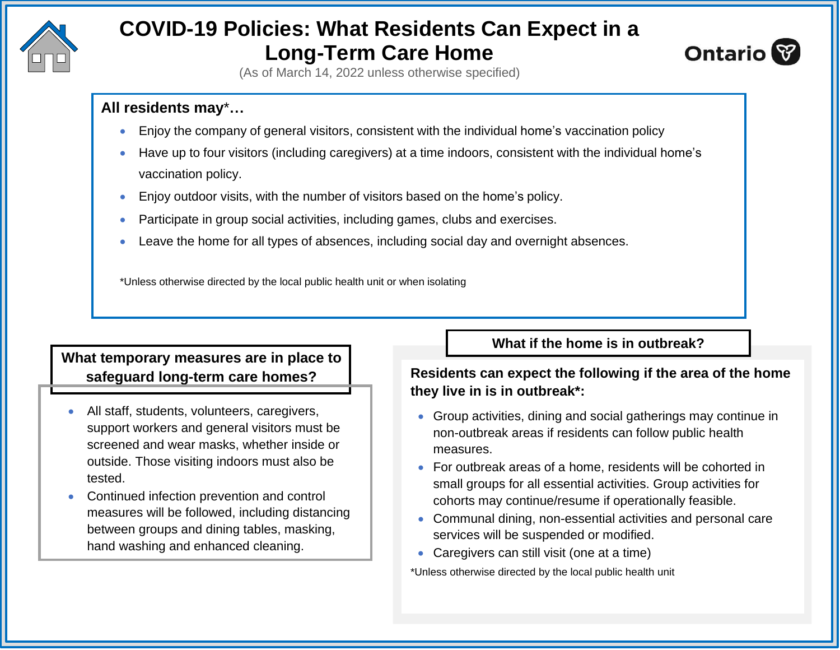

# **COVID-19 Policies: What Residents Can Expect in a Long-Term Care Home**



(As of March 14, 2022 unless otherwise specified)

# **All residents may**\***…**

- Enjoy the company of general visitors, consistent with the individual home's vaccination policy
- Have up to four visitors (including caregivers) at a time indoors, consistent with the individual home's vaccination policy.
- Enjoy outdoor visits, with the number of visitors based on the home's policy.
- Participate in group social activities, including games, clubs and exercises.
- Leave the home for all types of absences, including social day and overnight absences.

\*Unless otherwise directed by the local public health unit or when isolating

# **What temporary measures are in place to safeguard long-term care homes?**

- All staff, students, volunteers, caregivers, support workers and general visitors must be screened and wear masks, whether inside or outside. Those visiting indoors must also be tested.
- Continued infection prevention and control measures will be followed, including distancing between groups and dining tables, masking, hand washing and enhanced cleaning.

**What if the home is in outbreak?**

### **Residents can expect the following if the area of the home they live in is in outbreak\*:**

- Group activities, dining and social gatherings may continue in non-outbreak areas if residents can follow public health measures.
- For outbreak areas of a home, residents will be cohorted in small groups for all essential activities. Group activities for cohorts may continue/resume if operationally feasible.
- Communal dining, non-essential activities and personal care services will be suspended or modified.
- Caregivers can still visit (one at a time)

\*Unless otherwise directed by the local public health unit